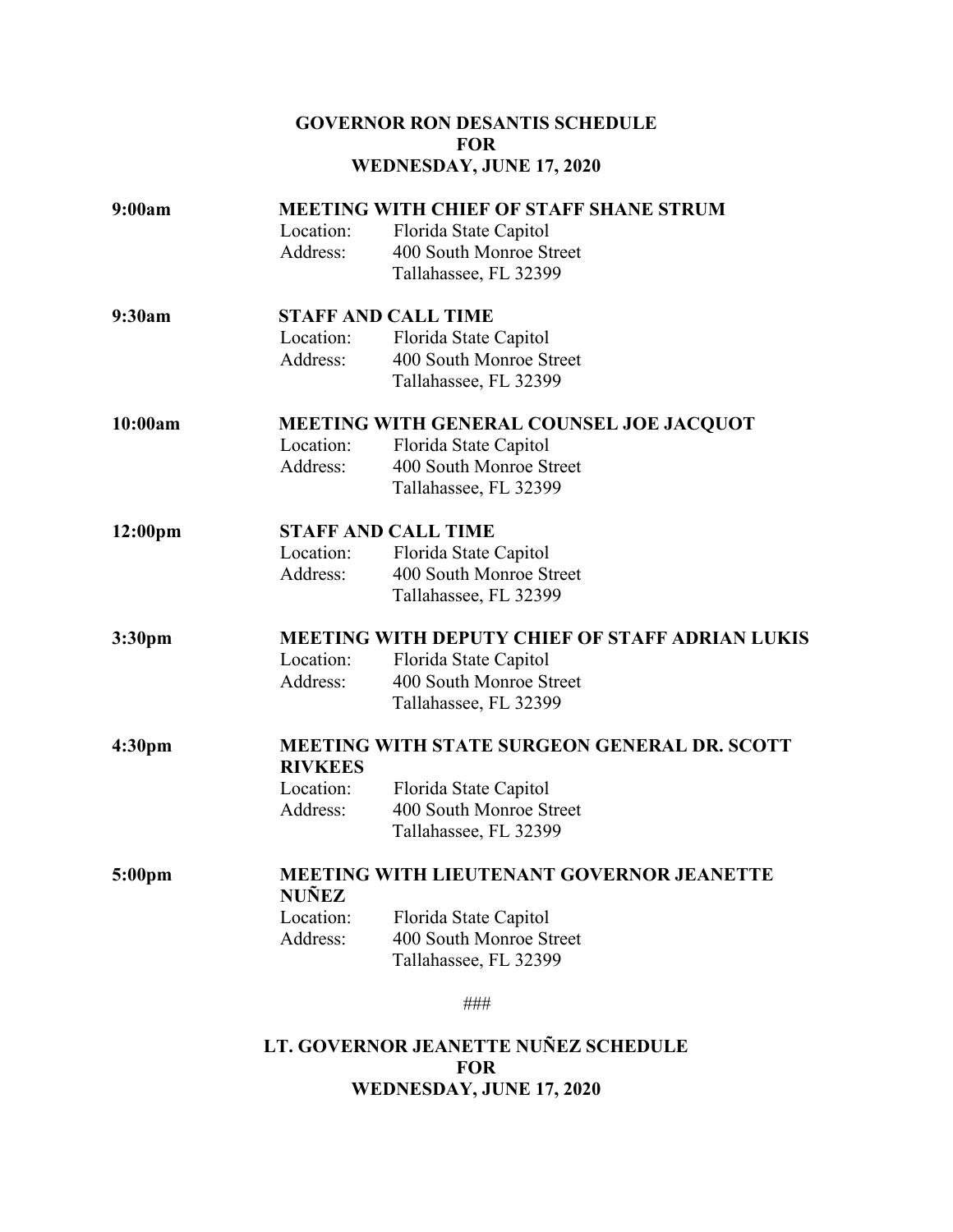## **GOVERNOR RON DESANTIS SCHEDULE FOR WEDNESDAY, JUNE 17, 2020**

| 9:00am              | <b>MEETING WITH CHIEF OF STAFF SHANE STRUM</b>         |                                                  |  |
|---------------------|--------------------------------------------------------|--------------------------------------------------|--|
|                     | Location:                                              | Florida State Capitol                            |  |
|                     | Address:                                               | 400 South Monroe Street                          |  |
|                     |                                                        | Tallahassee, FL 32399                            |  |
| 9:30am              | <b>STAFF AND CALL TIME</b>                             |                                                  |  |
|                     | Location:                                              | Florida State Capitol                            |  |
|                     | Address:                                               | 400 South Monroe Street                          |  |
|                     |                                                        | Tallahassee, FL 32399                            |  |
| 10:00am             | MEETING WITH GENERAL COUNSEL JOE JACQUOT               |                                                  |  |
|                     | Location:                                              | Florida State Capitol                            |  |
|                     | Address:                                               | 400 South Monroe Street                          |  |
|                     |                                                        | Tallahassee, FL 32399                            |  |
| 12:00 <sub>pm</sub> | <b>STAFF AND CALL TIME</b>                             |                                                  |  |
|                     | Location:                                              | Florida State Capitol                            |  |
|                     | Address:                                               | 400 South Monroe Street                          |  |
|                     |                                                        | Tallahassee, FL 32399                            |  |
| 3:30 <sub>pm</sub>  | <b>MEETING WITH DEPUTY CHIEF OF STAFF ADRIAN LUKIS</b> |                                                  |  |
|                     | Location:                                              | Florida State Capitol                            |  |
|                     | Address:                                               | 400 South Monroe Street                          |  |
|                     |                                                        | Tallahassee, FL 32399                            |  |
| 4:30 <sub>pm</sub>  | <b>MEETING WITH STATE SURGEON GENERAL DR. SCOTT</b>    |                                                  |  |
|                     | <b>RIVKEES</b>                                         |                                                  |  |
|                     | Location:                                              | Florida State Capitol                            |  |
|                     | Address:                                               | 400 South Monroe Street                          |  |
|                     |                                                        | Tallahassee, FL 32399                            |  |
| 5:00pm              | <b>MEETING WITH LIEUTENANT GOVERNOR JEANETTE</b>       |                                                  |  |
|                     | <b>NUÑEZ</b>                                           |                                                  |  |
|                     | Location:<br>Address:                                  | Florida State Capitol<br>400 South Monroe Street |  |
|                     |                                                        | Tallahassee, FL 32399                            |  |
|                     |                                                        |                                                  |  |
|                     |                                                        | ###                                              |  |
|                     |                                                        | LT. GOVERNOR JEANETTE NUÑEZ SCHEDULE             |  |

**FOR**

## **WEDNESDAY, JUNE 17, 2020**